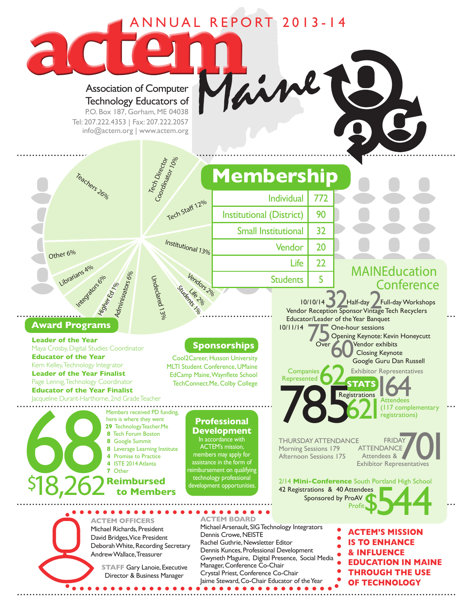## ANNUAL REPORT 2013-14

Association of Computer Technology Educators of

P.O. Box 187, Gorham, ME 04038 Tel: 207.222.4353 | Fax: 207.222.2057 info@actem.org | www.actem.org

Tech Director<br><sup>Coor</sup>dinator 10%<br>Mator 10%

Undeclared 13%

Tech Staff 12%

Institutional 13%

Students 2%

Vendors 2%

Other 6%

## **Award Programs**

Librarians 4<sup>0/0</sup>

Integrators 6%

Adminisrators 6%<br>Adminisrators 6%

Higher Ed 1%

**Leader of the Year and Sponsorships**<br>Maya Crosby, Digital Studies Coordinator **Sponsorships Educator of the Year** Kern Kelley, Technology Integrator **Leader of the Year Finalist** Page Lennig, Technology Coordinator **Educator of the Year Finalist** Jacqueline Durant-Harthorne, 2nd Grade Teacher

 $\bullet\bullet\bullet$ 

Teachers 26%

Cool2Career, Husson University MLTI Student Conference, UMaine EdCamp Maine, Waynflete School TechConnect.Me, Colby College

technology professional \$18,262**Reimbursed** development opportunities. **TO, ZUZ** to Members **29** TechnologyTeacher.Me  **8** Tech Forum Boston  **8** Google Summit  **8** Leverage Learning Institute  **4** Promise to Practice Members received Pl<br>
here is where they w<br> **29** Technology Teach<br> **8** Tech Forum Bosts<br> **8** Leverage Learning<br> **4** Promise to Practice<br> **4** ISTE 2014 Atlanta<br> **7** Other<br> **6 Reimburse** Members received PD funding, here is where they went

## **Professional Development**

In accordance with ACTEM's mission, members may apply for assistance in the form of eimbursement on qualifying MAINEducation **Conference** 

10/10/14<br>
Vendor Reception Sponsor Vintage Tech Recyclers<br>
Vendor Reception Sponsor Vintage Tech Recyclers Educator/Leader of the Year Banquet 10/11/14 One-hour sessions<br>
Opening Keynote:<br>
Over

**STATS**

**OPENING Keynote: Kevin Honeycutt** Over **Contract Vendor exhibits**  Closing Keynote Google Guru Dan Russell Companies **Companies Companies Companies Companies Companies Companies Companies Companies Companies Companies Companies Companies Companies Companies Companies Companies Companies Companies Companies Companies Companies C** 

**164** (117 complementary registrations)  $62$ 

THURSDAY ATTENDANCE FRIDAY Morning Sessions 179 Afternoon Sessions 175

Represented

Individual | 772

Vendor | 20

Students | 5

Life  $\vert$  22

Institutional (District) | 90

**Membership**

Small Institutional 32

**78** Registrations **ATTENDANCE**  Attendees & FRIDAY<br>
175 ATTENDANCE<br>
Exhibitor Representatives

2/14 **Mini-Conference** South Portland High School 42 Registrations & 40 Attendees Sponsored by ProAV From Contracting School Contract of the Profit<br>Sponsored by ProAV<br>Profit

**ACTEM OFFICERS** Michael Richards, President David Bridges, Vice President Deborah White, Recording Secretary Andrew Wallace, Treasurer

> **STAFF Gary Lanoie, Executive** Director & Business Manager

**ACTEM BOARD** Michael Arsenault, SIG Technology Integrators Dennis Crowe, NEISTE Rachel Guthrie, Newsletter Editor Dennis Kunces, Professional Development Gwyneth Maguire, Digital Presence, Social Media Manager, Conference Co-Chair Crystal Priest, Conference Co-Chair Jaime Steward, Co-Chair Educator of the Year . . . . . . . . . . . . .

**ACTEM'S MISSION IS TO ENHANCE & INFLUENCE EDUCATION IN MAINE THROUGH THE USE OF TECHNOLOGY**